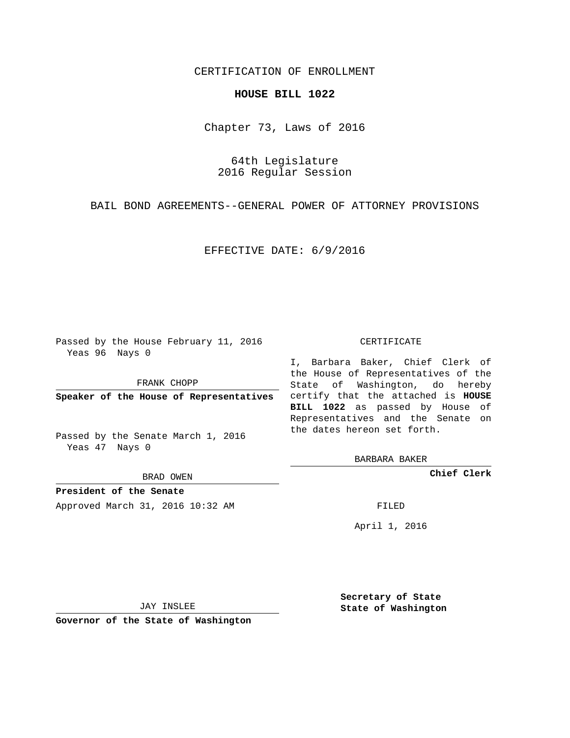## CERTIFICATION OF ENROLLMENT

## **HOUSE BILL 1022**

Chapter 73, Laws of 2016

64th Legislature 2016 Regular Session

BAIL BOND AGREEMENTS--GENERAL POWER OF ATTORNEY PROVISIONS

EFFECTIVE DATE: 6/9/2016

Passed by the House February 11, 2016 Yeas 96 Nays 0

FRANK CHOPP

Passed by the Senate March 1, 2016 Yeas 47 Nays 0

BRAD OWEN

**President of the Senate**

Approved March 31, 2016 10:32 AM FILED

## CERTIFICATE

**Speaker of the House of Representatives** certify that the attached is **HOUSE** I, Barbara Baker, Chief Clerk of the House of Representatives of the State of Washington, do hereby **BILL 1022** as passed by House of Representatives and the Senate on the dates hereon set forth.

BARBARA BAKER

**Chief Clerk**

April 1, 2016

JAY INSLEE

**Governor of the State of Washington**

**Secretary of State State of Washington**